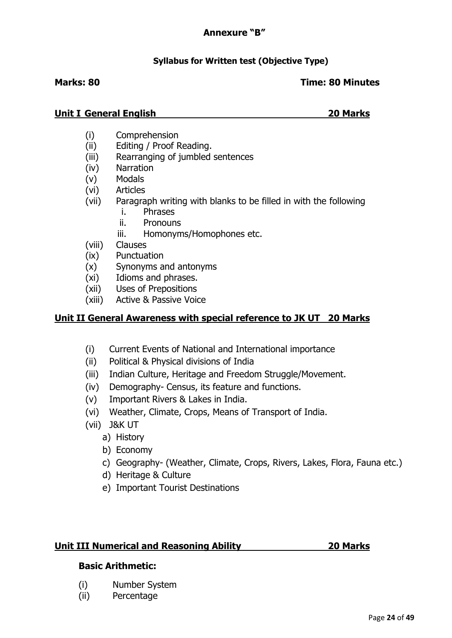# **Syllabus for Written test (Objective Type)**

#### **Marks: 80 Time: 80 Minutes**

#### **Unit I General English 20 Marks**

- (i) Comprehension
- (ii) Editing / Proof Reading.
- (iii) Rearranging of jumbled sentences
- (iv) Narration
- (v) Modals
- (vi) Articles
- (vii) Paragraph writing with blanks to be filled in with the following
	- i. Phrases
	- ii. Pronouns
	- iii. Homonyms/Homophones etc.
- (viii) Clauses
- (ix) Punctuation
- (x) Synonyms and antonyms
- (xi) Idioms and phrases.
- (xii) Uses of Prepositions
- (xiii) Active & Passive Voice

# **Unit II General Awareness with special reference to JK UT 20 Marks**

- (i) Current Events of National and International importance
- (ii) Political & Physical divisions of India
- (iii) Indian Culture, Heritage and Freedom Struggle/Movement.
- (iv) Demography- Census, its feature and functions.
- (v) Important Rivers & Lakes in India.
- (vi) Weather, Climate, Crops, Means of Transport of India.
- (vii) J&K UT
	- a) History
	- b) Economy
	- c) Geography- (Weather, Climate, Crops, Rivers, Lakes, Flora, Fauna etc.)
	- d) Heritage & Culture
	- e) Important Tourist Destinations

# **Unit III Numerical and Reasoning Ability 20 Marks**

### **Basic Arithmetic:**

- (i) Number System
- (ii) Percentage